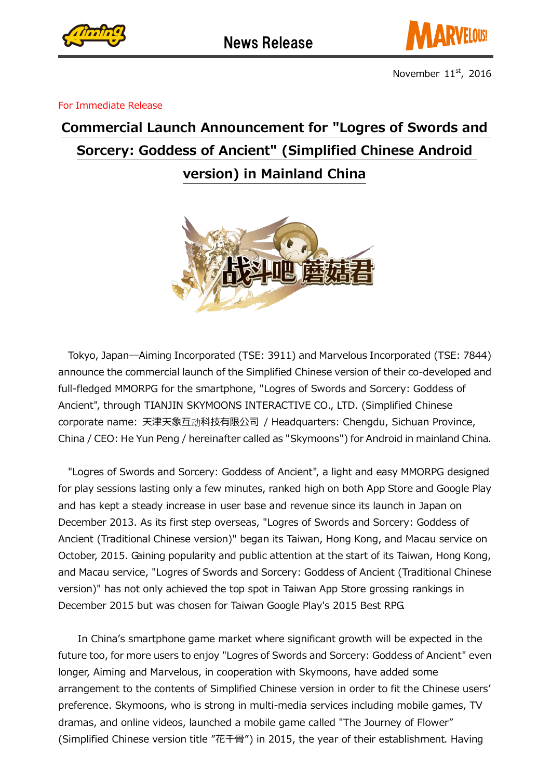



For Immediate Release

## Commercial Launch Announcement for "Logres of Swords and Sorcery: Goddess of Ancient" (Simplified Chinese Android version) in Mainland China



Tokyo, Japan―Aiming Incorporated (TSE: 3911) and Marvelous Incorporated (TSE: 7844) announce the commercial launch of the Simplified Chinese version of their co-developed and full-fledged MMORPG for the smartphone, "Logres of Swords and Sorcery: Goddess of Ancient", through TIANJIN SKYMOONS INTERACTIVE CO., LTD. (Simplified Chinese corporate name: 天津天象互动科技有限公司 / Headquarters: Chengdu, Sichuan Province, China / CEO: He Yun Peng / hereinafter called as "Skymoons") for Android in mainland China.

"Logres of Swords and Sorcery: Goddess of Ancient", a light and easy MMORPG designed for play sessions lasting only a few minutes, ranked high on both App Store and Google Play and has kept a steady increase in user base and revenue since its launch in Japan on December 2013. As its first step overseas, "Logres of Swords and Sorcery: Goddess of Ancient (Traditional Chinese version)" began its Taiwan, Hong Kong, and Macau service on October, 2015. Gaining popularity and public attention at the start of its Taiwan, Hong Kong, and Macau service, "Logres of Swords and Sorcery: Goddess of Ancient (Traditional Chinese version)" has not only achieved the top spot in Taiwan App Store grossing rankings in December 2015 but was chosen for Taiwan Google Play's 2015 Best RPG.

In China's smartphone game market where significant growth will be expected in the future too, for more users to enjoy "Logres of Swords and Sorcery: Goddess of Ancient" even longer, Aiming and Marvelous, in cooperation with Skymoons, have added some arrangement to the contents of Simplified Chinese version in order to fit the Chinese users' preference. Skymoons, who is strong in multi-media services including mobile games, TV dramas, and online videos, launched a mobile game called "The Journey of Flower" (Simplified Chinese version title "花千骨") in 2015, the year of their establishment. Having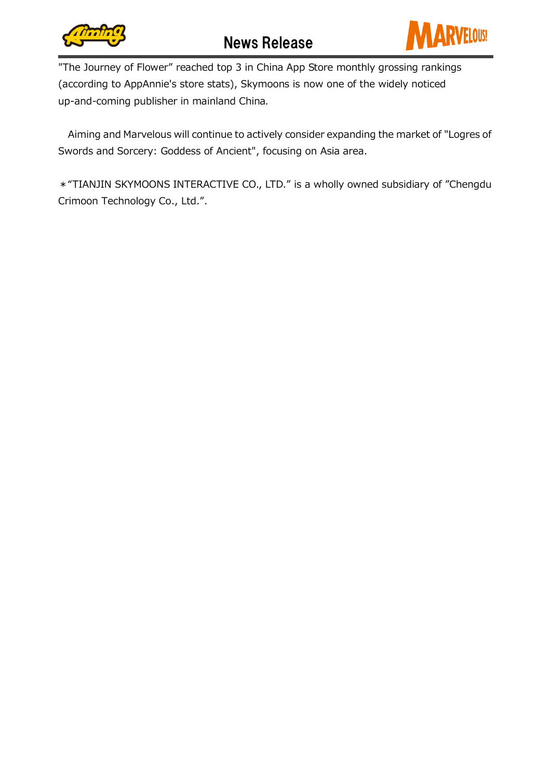



"The Journey of Flower" reached top 3 in China App Store monthly grossing rankings (according to AppAnnie's store stats), Skymoons is now one of the widely noticed up-and-coming publisher in mainland China.

Aiming and Marvelous will continue to actively consider expanding the market of "Logres of Swords and Sorcery: Goddess of Ancient", focusing on Asia area.

\*"TIANJIN SKYMOONS INTERACTIVE CO., LTD." is a wholly owned subsidiary of "Chengdu Crimoon Technology Co., Ltd.".